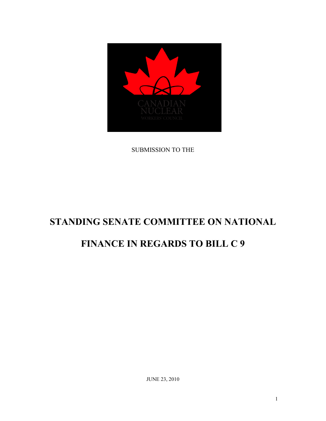

SUBMISSION TO THE

# **STANDING SENATE COMMITTEE ON NATIONAL**

## **FINANCE IN REGARDS TO BILL C 9**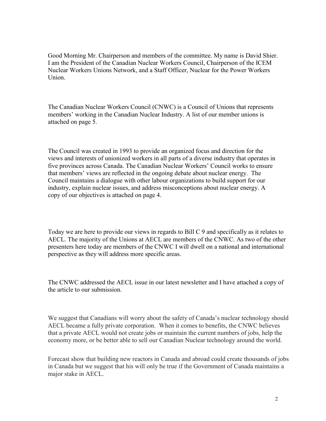Good Morning Mr. Chairperson and members of the committee. My name is David Shier. I am the President of the Canadian Nuclear Workers Council, Chairperson of the ICEM Nuclear Workers Unions Network, and a Staff Officer, Nuclear for the Power Workers Union.

The Canadian Nuclear Workers Council (CNWC) is a Council of Unions that represents members' working in the Canadian Nuclear Industry. A list of our member unions is attached on page 5.

The Council was created in 1993 to provide an organized focus and direction for the views and interests of unionized workers in all parts of a diverse industry that operates in five provinces across Canada. The Canadian Nuclear Workers' Council works to ensure that members' views are reflected in the ongoing debate about nuclear energy. The Council maintains a dialogue with other labour organizations to build support for our industry, explain nuclear issues, and address misconceptions about nuclear energy. A copy of our objectives is attached on page 4.

Today we are here to provide our views in regards to Bill C 9 and specifically as it relates to AECL. The majority of the Unions at AECL are members of the CNWC. As two of the other presenters here today are members of the CNWC I will dwell on a national and international perspective as they will address more specific areas.

The CNWC addressed the AECL issue in our latest newsletter and I have attached a copy of the article to our submission.

We suggest that Canadians will worry about the safety of Canada's nuclear technology should AECL became a fully private corporation. When it comes to benefits, the CNWC believes that a private AECL would not create jobs or maintain the current numbers of jobs, help the economy more, or be better able to sell our Canadian Nuclear technology around the world.

Forecast show that building new reactors in Canada and abroad could create thousands of jobs in Canada but we suggest that his will only be true if the Government of Canada maintains a major stake in AECL.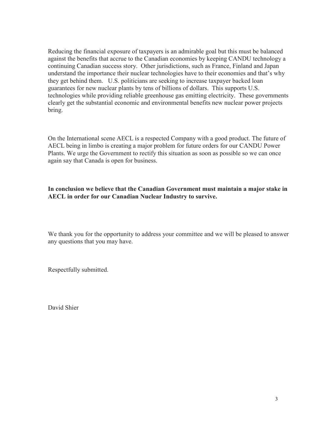Reducing the financial exposure of taxpayers is an admirable goal but this must be balanced against the benefits that accrue to the Canadian economies by keeping CANDU technology a continuing Canadian success story. Other jurisdictions, such as France, Finland and Japan understand the importance their nuclear technologies have to their economies and that's why they get behind them. U.S. politicians are seeking to increase taxpayer backed loan guarantees for new nuclear plants by tens of billions of dollars. This supports U.S. technologies while providing reliable greenhouse gas emitting electricity. These governments clearly get the substantial economic and environmental benefits new nuclear power projects bring.

On the International scene AECL is a respected Company with a good product. The future of AECL being in limbo is creating a major problem for future orders for our CANDU Power Plants. We urge the Government to rectify this situation as soon as possible so we can once again say that Canada is open for business.

#### **In conclusion we believe that the Canadian Government must maintain a major stake in AECL in order for our Canadian Nuclear Industry to survive.**

We thank you for the opportunity to address your committee and we will be pleased to answer any questions that you may have.

Respectfully submitted.

David Shier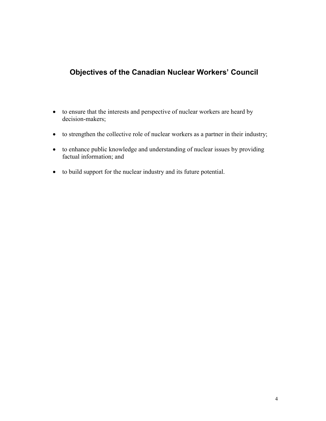## **Objectives of the Canadian Nuclear Workers' Council**

- to ensure that the interests and perspective of nuclear workers are heard by decision-makers;
- to strengthen the collective role of nuclear workers as a partner in their industry;
- to enhance public knowledge and understanding of nuclear issues by providing factual information; and
- to build support for the nuclear industry and its future potential.